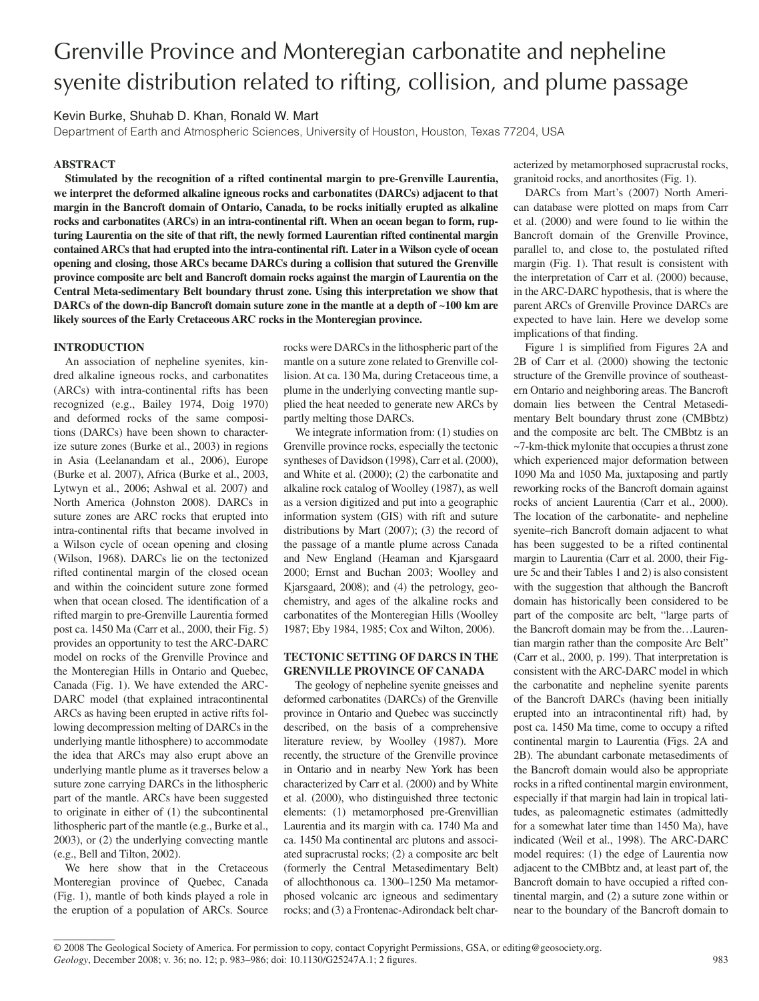# Grenville Province and Monteregian carbonatite and nepheline syenite distribution related to rifting, collision, and plume passage

Kevin Burke, Shuhab D. Khan, Ronald W. Mart

Department of Earth and Atmospheric Sciences, University of Houston, Houston, Texas 77204, USA

## **ABSTRACT**

**Stimulated by the recognition of a rifted continental margin to pre-Grenville Laurentia, we interpret the deformed alkaline igneous rocks and carbonatites (DARCs) adjacent to that margin in the Bancroft domain of Ontario, Canada, to be rocks initially erupted as alkaline rocks and carbonatites (ARCs) in an intra-continental rift. When an ocean began to form, rupturing Laurentia on the site of that rift, the newly formed Laurentian rifted continental margin contained ARCs that had erupted into the intra-continental rift. Later in a Wilson cycle of ocean opening and closing, those ARCs became DARCs during a collision that sutured the Grenville province composite arc belt and Bancroft domain rocks against the margin of Laurentia on the Central Meta-sedimentary Belt boundary thrust zone. Using this interpretation we show that DARCs of the down-dip Bancroft domain suture zone in the mantle at a depth of ~100 km are likely sources of the Early Cretaceous ARC rocks in the Monteregian province.**

## **INTRODUCTION**

An association of nepheline syenites, kindred alkaline igneous rocks, and carbonatites (ARCs) with intra-continental rifts has been recognized (e.g., Bailey 1974, Doig 1970) and deformed rocks of the same compositions (DARCs) have been shown to characterize suture zones (Burke et al., 2003) in regions in Asia (Leelanandam et al., 2006), Europe (Burke et al. 2007), Africa (Burke et al., 2003, Lytwyn et al., 2006; Ashwal et al. 2007) and North America (Johnston 2008). DARCs in suture zones are ARC rocks that erupted into intra-continental rifts that became involved in a Wilson cycle of ocean opening and closing (Wilson, 1968). DARCs lie on the tectonized rifted continental margin of the closed ocean and within the coincident suture zone formed when that ocean closed. The identification of a rifted margin to pre-Grenville Laurentia formed post ca. 1450 Ma (Carr et al., 2000, their Fig. 5) provides an opportunity to test the ARC-DARC model on rocks of the Grenville Province and the Monteregian Hills in Ontario and Quebec, Canada (Fig. 1). We have extended the ARC-DARC model (that explained intracontinental ARCs as having been erupted in active rifts following decompression melting of DARCs in the underlying mantle lithosphere) to accommodate the idea that ARCs may also erupt above an underlying mantle plume as it traverses below a suture zone carrying DARCs in the lithospheric part of the mantle. ARCs have been suggested to originate in either of (1) the subcontinental lithospheric part of the mantle (e.g., Burke et al., 2003), or (2) the underlying convecting mantle (e.g., Bell and Tilton, 2002).

We here show that in the Cretaceous Monteregian province of Quebec, Canada (Fig. 1), mantle of both kinds played a role in the eruption of a population of ARCs. Source

rocks were DARCs in the lithospheric part of the mantle on a suture zone related to Grenville collision. At ca. 130 Ma, during Cretaceous time, a plume in the underlying convecting mantle supplied the heat needed to generate new ARCs by partly melting those DARCs.

We integrate information from: (1) studies on Grenville province rocks, especially the tectonic syntheses of Davidson (1998), Carr et al. (2000), and White et al. (2000); (2) the carbonatite and alkaline rock catalog of Woolley (1987), as well as a version digitized and put into a geographic information system (GIS) with rift and suture distributions by Mart (2007); (3) the record of the passage of a mantle plume across Canada and New England (Heaman and Kjarsgaard 2000; Ernst and Buchan 2003; Woolley and Kjarsgaard, 2008); and (4) the petrology, geochemistry, and ages of the alkaline rocks and carbonatites of the Monteregian Hills (Woolley 1987; Eby 1984, 1985; Cox and Wilton, 2006).

## **TECTONIC SETTING OF DARCS IN THE GRENVILLE PROVINCE OF CANADA**

The geology of nepheline syenite gneisses and deformed carbonatites (DARCs) of the Grenville province in Ontario and Quebec was succinctly described, on the basis of a comprehensive literature review, by Woolley (1987). More recently, the structure of the Grenville province in Ontario and in nearby New York has been characterized by Carr et al. (2000) and by White et al. (2000), who distinguished three tectonic elements: (1) metamorphosed pre-Grenvillian Laurentia and its margin with ca. 1740 Ma and ca. 1450 Ma continental arc plutons and associated supracrustal rocks; (2) a composite arc belt (formerly the Central Metasedimentary Belt) of allochthonous ca. 1300–1250 Ma metamorphosed volcanic arc igneous and sedimentary rocks; and (3) a Frontenac-Adirondack belt characterized by metamorphosed supracrustal rocks, granitoid rocks, and anorthosites (Fig. 1).

DARCs from Mart's (2007) North American database were plotted on maps from Carr et al. (2000) and were found to lie within the Bancroft domain of the Grenville Province, parallel to, and close to, the postulated rifted margin (Fig. 1). That result is consistent with the interpretation of Carr et al. (2000) because, in the ARC-DARC hypothesis, that is where the parent ARCs of Grenville Province DARCs are expected to have lain. Here we develop some implications of that finding.

Figure 1 is simplified from Figures 2A and 2B of Carr et al. (2000) showing the tectonic structure of the Grenville province of southeastern Ontario and neighboring areas. The Bancroft domain lies between the Central Metasedimentary Belt boundary thrust zone (CMBbtz) and the composite arc belt. The CMBbtz is an ~7-km-thick mylonite that occupies a thrust zone which experienced major deformation between 1090 Ma and 1050 Ma, juxtaposing and partly reworking rocks of the Bancroft domain against rocks of ancient Laurentia (Carr et al., 2000). The location of the carbonatite- and nepheline syenite–rich Bancroft domain adjacent to what has been suggested to be a rifted continental margin to Laurentia (Carr et al. 2000, their Figure 5c and their Tables 1 and 2) is also consistent with the suggestion that although the Bancroft domain has historically been considered to be part of the composite arc belt, "large parts of the Bancroft domain may be from the…Laurentian margin rather than the composite Arc Belt" (Carr et al., 2000, p. 199). That interpretation is consistent with the ARC-DARC model in which the carbonatite and nepheline syenite parents of the Bancroft DARCs (having been initially erupted into an intracontinental rift) had, by post ca. 1450 Ma time, come to occupy a rifted continental margin to Laurentia (Figs. 2A and 2B). The abundant carbonate metasediments of the Bancroft domain would also be appropriate rocks in a rifted continental margin environment, especially if that margin had lain in tropical latitudes, as paleomagnetic estimates (admittedly for a somewhat later time than 1450 Ma), have indicated (Weil et al., 1998). The ARC-DARC model requires: (1) the edge of Laurentia now adjacent to the CMBbtz and, at least part of, the Bancroft domain to have occupied a rifted continental margin, and (2) a suture zone within or near to the boundary of the Bancroft domain to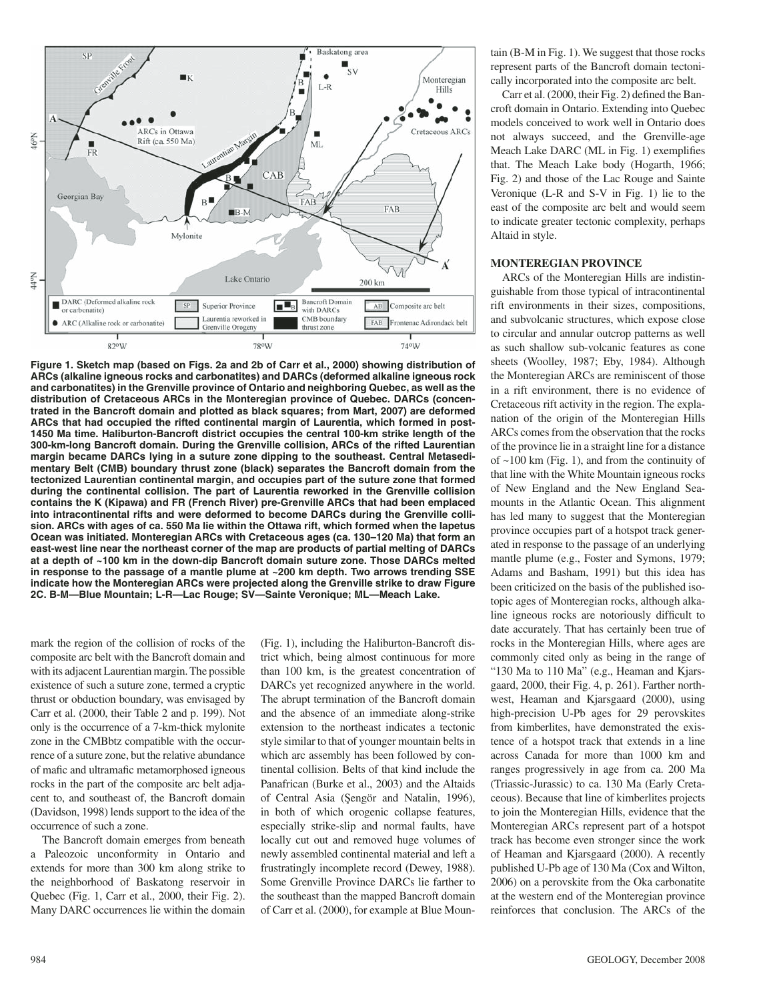

**Figure 1. Sketch map (based on Figs. 2a and 2b of Carr et al., 2000) showing distribution of ARCs (alkaline igneous rocks and carbonatites) and DARCs (deformed alkaline igneous rock and carbonatites) in the Grenville province of Ontario and neighboring Quebec, as well as the distribution of Cretaceous ARCs in the Monteregian province of Quebec. DARCs (concentrated in the Bancroft domain and plotted as black squares; from Mart, 2007) are deformed ARCs that had occupied the rifted continental margin of Laurentia, which formed in post-1450 Ma time. Haliburton-Bancroft district occupies the central 100-km strike length of the 300-km-long Bancroft domain. During the Grenville collision, ARCs of the rifted Laurentian margin became DARCs lying in a suture zone dipping to the southeast. Central Metasedimentary Belt (CMB) boundary thrust zone (black) separates the Bancroft domain from the tectonized Laurentian continental margin, and occupies part of the suture zone that formed during the continental collision. The part of Laurentia reworked in the Grenville collision contains the K (Kipawa) and FR (French River) pre-Grenville ARCs that had been emplaced into intracontinental rifts and were deformed to become DARCs during the Grenville collision. ARCs with ages of ca. 550 Ma lie within the Ottawa rift, which formed when the Iapetus Ocean was initiated. Monteregian ARCs with Cretaceous ages (ca. 130–120 Ma) that form an east-west line near the northeast corner of the map are products of partial melting of DARCs at a depth of ~100 km in the down-dip Bancroft domain suture zone. Those DARCs melted in response to the passage of a mantle plume at ~200 km depth. Two arrows trending SSE indicate how the Monteregian ARCs were projected along the Grenville strike to draw Figure 2C. B-M—Blue Mountain; L-R—Lac Rouge; SV—Sainte Veronique; ML—Meach Lake.**

mark the region of the collision of rocks of the composite arc belt with the Bancroft domain and with its adjacent Laurentian margin. The possible existence of such a suture zone, termed a cryptic thrust or obduction boundary, was envisaged by Carr et al. (2000, their Table 2 and p. 199). Not only is the occurrence of a 7-km-thick mylonite zone in the CMBbtz compatible with the occurrence of a suture zone, but the relative abundance of mafic and ultramafic metamorphosed igneous rocks in the part of the composite arc belt adjacent to, and southeast of, the Bancroft domain (Davidson, 1998) lends support to the idea of the occurrence of such a zone.

The Bancroft domain emerges from beneath a Paleozoic unconformity in Ontario and extends for more than 300 km along strike to the neighborhood of Baskatong reservoir in Quebec (Fig. 1, Carr et al., 2000, their Fig. 2). Many DARC occurrences lie within the domain

(Fig. 1), including the Haliburton-Bancroft district which, being almost continuous for more than 100 km, is the greatest concentration of DARCs yet recognized anywhere in the world. The abrupt termination of the Bancroft domain and the absence of an immediate along-strike extension to the northeast indicates a tectonic style similar to that of younger mountain belts in which arc assembly has been followed by continental collision. Belts of that kind include the Panafrican (Burke et al., 2003) and the Altaids of Central Asia (Şengör and Natalin, 1996), in both of which orogenic collapse features, especially strike-slip and normal faults, have locally cut out and removed huge volumes of newly assembled continental material and left a frustratingly incomplete record (Dewey, 1988). Some Grenville Province DARCs lie farther to the southeast than the mapped Bancroft domain of Carr et al. (2000), for example at Blue Mountain (B-M in Fig. 1). We suggest that those rocks represent parts of the Bancroft domain tectonically incorporated into the composite arc belt.

Carr et al. (2000, their Fig. 2) defined the Bancroft domain in Ontario. Extending into Quebec models conceived to work well in Ontario does not always succeed, and the Grenville-age Meach Lake DARC (ML in Fig. 1) exemplifies that. The Meach Lake body (Hogarth, 1966; Fig. 2) and those of the Lac Rouge and Sainte Veronique (L-R and S-V in Fig. 1) lie to the east of the composite arc belt and would seem to indicate greater tectonic complexity, perhaps Altaid in style.

#### **MONTEREGIAN PROVINCE**

ARCs of the Monteregian Hills are indistinguishable from those typical of intracontinental rift environments in their sizes, compositions, and subvolcanic structures, which expose close to circular and annular outcrop patterns as well as such shallow sub-volcanic features as cone sheets (Woolley, 1987; Eby, 1984). Although the Monteregian ARCs are reminiscent of those in a rift environment, there is no evidence of Cretaceous rift activity in the region. The explanation of the origin of the Monteregian Hills ARCs comes from the observation that the rocks of the province lie in a straight line for a distance of  $\sim$ 100 km (Fig. 1), and from the continuity of that line with the White Mountain igneous rocks of New England and the New England Seamounts in the Atlantic Ocean. This alignment has led many to suggest that the Monteregian province occupies part of a hotspot track generated in response to the passage of an underlying mantle plume (e.g., Foster and Symons, 1979; Adams and Basham, 1991) but this idea has been criticized on the basis of the published isotopic ages of Monteregian rocks, although alkaline igneous rocks are notoriously difficult to date accurately. That has certainly been true of rocks in the Monteregian Hills, where ages are commonly cited only as being in the range of "130 Ma to 110 Ma" (e.g., Heaman and Kjarsgaard, 2000, their Fig. 4, p. 261). Farther northwest, Heaman and Kjarsgaard (2000), using high-precision U-Pb ages for 29 perovskites from kimberlites, have demonstrated the existence of a hotspot track that extends in a line across Canada for more than 1000 km and ranges progressively in age from ca. 200 Ma (Triassic-Jurassic) to ca. 130 Ma (Early Cretaceous). Because that line of kimberlites projects to join the Monteregian Hills, evidence that the Monteregian ARCs represent part of a hotspot track has become even stronger since the work of Heaman and Kjarsgaard (2000). A recently published U-Pb age of 130 Ma (Cox and Wilton, 2006) on a perovskite from the Oka carbonatite at the western end of the Monteregian province reinforces that conclusion. The ARCs of the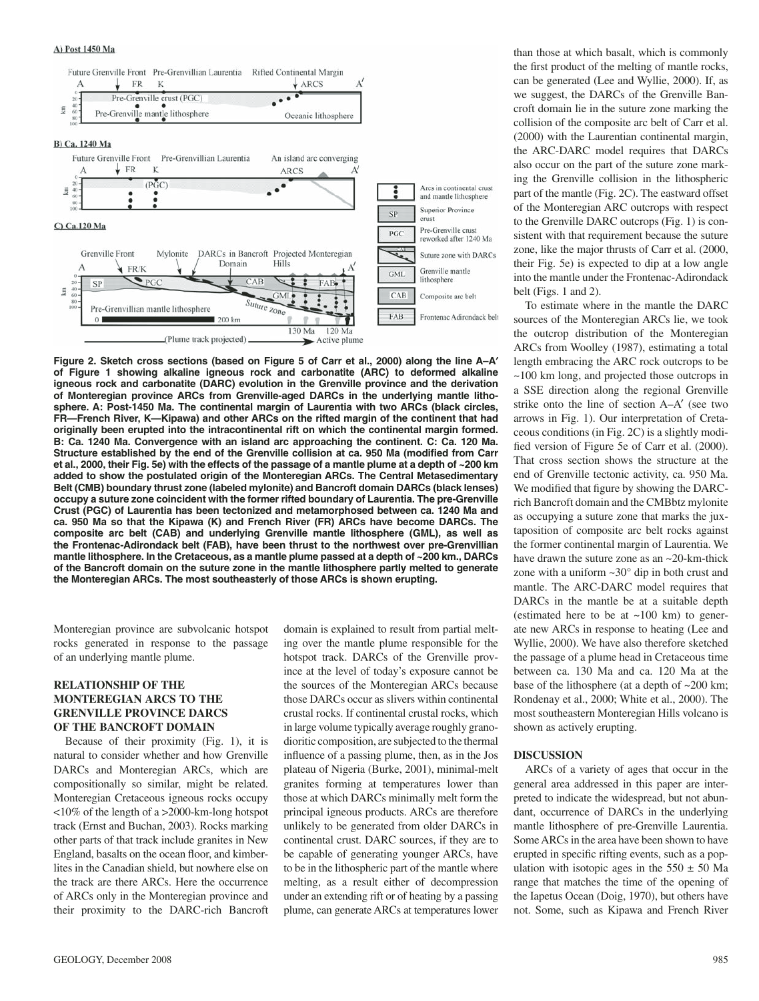#### A) Post 1450 Ma



**Figure 2. Sketch cross sections (based on Figure 5 of Carr et al., 2000) along the line A–A**′ **of Figure 1 showing alkaline igneous rock and carbonatite (ARC) to deformed alkaline**  igneous rock and carbonatite (DARC) evolution in the Grenville province and the derivation **of Monteregian province ARCs from Grenville-aged DARCs in the underlying mantle lithosphere. A: Post-1450 Ma. The continental margin of Laurentia with two ARCs (black circles, FR—French River, K—Kipawa) and other ARCs on the rifted margin of the continent that had originally been erupted into the intracontinental rift on which the continental margin formed. B: Ca. 1240 Ma. Convergence with an island arc approaching the continent. C: Ca. 120 Ma.**  Structure established by the end of the Grenville collision at ca. 950 Ma (modified from Carr **et al., 2000, their Fig. 5e) with the effects of the passage of a mantle plume at a depth of ~200 km**  added to show the postulated origin of the Monteregian ARCs. The Central Metasedimentary **Belt (CMB) boundary thrust zone (labeled mylonite) and Bancroft domain DARCs (black lenses) occupy a suture zone coincident with the former rifted boundary of Laurentia. The pre-Grenville Crust (PGC) of Laurentia has been tectonized and metamorphosed between ca. 1240 Ma and ca. 950 Ma so that the Kipawa (K) and French River (FR) ARCs have become DARCs. The composite arc belt (CAB) and underlying Grenville mantle lithosphere (GML), as well as the Frontenac-Adirondack belt (FAB), have been thrust to the northwest over pre-Grenvillian mantlelithosphere. In the Cretaceous, as a mantle plume passed at a depth of ~200 km., DARCs of the Bancroft domain on the suture zone in the mantle lithosphere partly melted to generate the Monteregian ARCs. The most southeasterly of those ARCs is shown erupting.**

Monteregian province are subvolcanic hotspot rocks generated in response to the passage of an underlying mantle plume.

#### **RELATIONSHIP OF THE MONTEREGIAN ARCS TO THE GRENVILLE PROVINCE DARCS OF THE BANCROFT DOMAIN**

Because of their proximity (Fig. 1), it is natural to consider whether and how Grenville DARCs and Monteregian ARCs, which are compositionally so similar, might be related. Monteregian Cretaceous igneous rocks occupy <10% of the length of a >2000-km-long hotspot track (Ernst and Buchan, 2003). Rocks marking other parts of that track include granites in New England, basalts on the ocean floor, and kimberlites in the Canadian shield, but nowhere else on the track are there ARCs. Here the occurrence of ARCs only in the Monteregian province and their proximity to the DARC-rich Bancroft

domain is explained to result from partial melting over the mantle plume responsible for the hotspot track. DARCs of the Grenville province at the level of today's exposure cannot be the sources of the Monteregian ARCs because those DARCs occur as slivers within continental crustal rocks. If continental crustal rocks, which in large volume typically average roughly granodioritic composition, are subjected to the thermal influence of a passing plume, then, as in the Jos plateau of Nigeria (Burke, 2001), minimal-melt granites forming at temperatures lower than those at which DARCs minimally melt form the principal igneous products. ARCs are therefore unlikely to be generated from older DARCs in continental crust. DARC sources, if they are to be capable of generating younger ARCs, have to be in the lithospheric part of the mantle where melting, as a result either of decompression under an extending rift or of heating by a passing plume, can generate ARCs at temperatures lower than those at which basalt, which is commonly the first product of the melting of mantle rocks, can be generated (Lee and Wyllie, 2000). If, as we suggest, the DARCs of the Grenville Bancroft domain lie in the suture zone marking the collision of the composite arc belt of Carr et al. (2000) with the Laurentian continental margin, the ARC-DARC model requires that DARCs also occur on the part of the suture zone marking the Grenville collision in the lithospheric part of the mantle (Fig. 2C). The eastward offset of the Monteregian ARC outcrops with respect to the Grenville DARC outcrops (Fig. 1) is consistent with that requirement because the suture zone, like the major thrusts of Carr et al. (2000, their Fig. 5e) is expected to dip at a low angle into the mantle under the Frontenac-Adirondack belt (Figs. 1 and 2).

To estimate where in the mantle the DARC sources of the Monteregian ARCs lie, we took the outcrop distribution of the Monteregian ARCs from Woolley (1987), estimating a total length embracing the ARC rock outcrops to be ~100 km long, and projected those outcrops in a SSE direction along the regional Grenville strike onto the line of section A–A′ (see two arrows in Fig. 1). Our interpretation of Cretaceous conditions (in Fig. 2C) is a slightly modified version of Figure 5e of Carr et al. (2000). That cross section shows the structure at the end of Grenville tectonic activity, ca. 950 Ma. We modified that figure by showing the DARCrich Bancroft domain and the CMBbtz mylonite as occupying a suture zone that marks the juxtaposition of composite arc belt rocks against the former continental margin of Laurentia. We have drawn the suture zone as an ~20-km-thick zone with a uniform  $\sim 30^\circ$  dip in both crust and mantle. The ARC-DARC model requires that DARCs in the mantle be at a suitable depth (estimated here to be at ~100 km) to generate new ARCs in response to heating (Lee and Wyllie, 2000). We have also therefore sketched the passage of a plume head in Cretaceous time between ca. 130 Ma and ca. 120 Ma at the base of the lithosphere (at a depth of ~200 km; Rondenay et al., 2000; White et al., 2000). The most southeastern Monteregian Hills volcano is shown as actively erupting.

#### **DISCUSSION**

ARCs of a variety of ages that occur in the general area addressed in this paper are interpreted to indicate the widespread, but not abundant, occurrence of DARCs in the underlying mantle lithosphere of pre-Grenville Laurentia. Some ARCs in the area have been shown to have erupted in specific rifting events, such as a population with isotopic ages in the  $550 \pm 50$  Ma range that matches the time of the opening of the Iapetus Ocean (Doig, 1970), but others have not. Some, such as Kipawa and French River